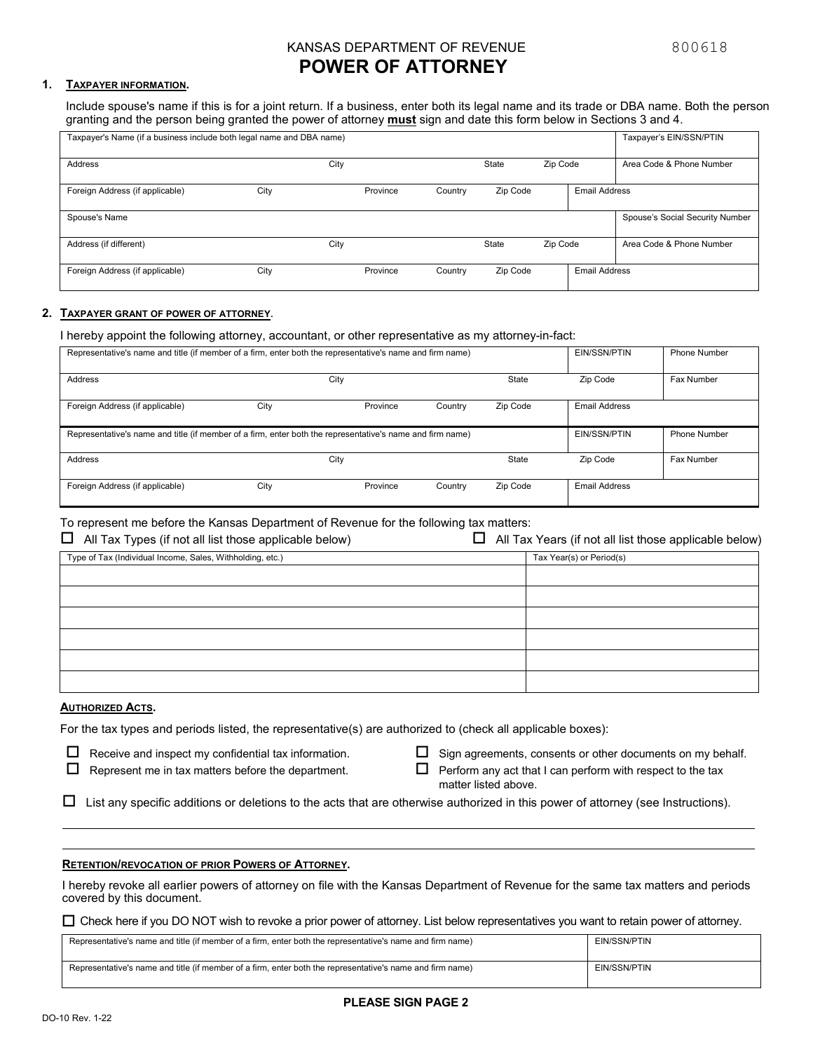## KANSAS DEPARTMENT OF REVENUE **1999** 800618

# **POWER OF ATTORNEY**

### **1. TAXPAYER INFORMATION.**

Include spouse's name if this is for a joint return. If a business, enter both its legal name and its trade or DBA name. Both the person granting and the person being granted the power of attorney **must** sign and date this form below in Sections 3 and 4.

| Taxpayer's Name (if a business include both legal name and DBA name) |      |      |          |         |          |          |                      | Taxpayer's EIN/SSN/PTIN         |
|----------------------------------------------------------------------|------|------|----------|---------|----------|----------|----------------------|---------------------------------|
|                                                                      |      |      |          |         |          |          |                      |                                 |
| Address                                                              |      | City |          |         | State    | Zip Code |                      | Area Code & Phone Number        |
|                                                                      |      |      |          |         |          |          |                      |                                 |
| Foreign Address (if applicable)                                      | City |      | Province | Country | Zip Code |          | <b>Email Address</b> |                                 |
|                                                                      |      |      |          |         |          |          |                      |                                 |
| Spouse's Name                                                        |      |      |          |         |          |          |                      | Spouse's Social Security Number |
|                                                                      |      |      |          |         |          |          |                      |                                 |
| Address (if different)                                               |      | City |          |         | State    | Zip Code |                      | Area Code & Phone Number        |
|                                                                      |      |      |          |         |          |          |                      |                                 |
| Foreign Address (if applicable)                                      | City |      | Province | Country | Zip Code |          | <b>Email Address</b> |                                 |
|                                                                      |      |      |          |         |          |          |                      |                                 |

### **2. TAXPAYER GRANT OF POWER OF ATTORNEY**.

I hereby appoint the following attorney, accountant, or other representative as my attorney-in-fact:

| Representative's name and title (if member of a firm, enter both the representative's name and firm name) |              |              |         |              | EIN/SSN/PTIN         | Phone Number |
|-----------------------------------------------------------------------------------------------------------|--------------|--------------|---------|--------------|----------------------|--------------|
| Address                                                                                                   |              | City         |         | <b>State</b> | Zip Code             | Fax Number   |
| Foreign Address (if applicable)                                                                           | City         | Province     | Country | Zip Code     | <b>Email Address</b> |              |
| Representative's name and title (if member of a firm, enter both the representative's name and firm name) | EIN/SSN/PTIN | Phone Number |         |              |                      |              |
| Address                                                                                                   |              | City         |         | <b>State</b> | Zip Code             | Fax Number   |
| Foreign Address (if applicable)                                                                           | City         | Province     | Country | Zip Code     | <b>Email Address</b> |              |

### To represent me before the Kansas Department of Revenue for the following tax matters:

| $\Box$<br>All Tax Types (if not all list those applicable below) | All Tax Years (if not all list those applicable below) |
|------------------------------------------------------------------|--------------------------------------------------------|
| Type of Tax (Individual Income, Sales, Withholding, etc.)        | Tax Year(s) or Period(s)                               |
|                                                                  |                                                        |
|                                                                  |                                                        |
|                                                                  |                                                        |
|                                                                  |                                                        |
|                                                                  |                                                        |
|                                                                  |                                                        |

### **AUTHORIZED ACTS.**

For the tax types and periods listed, the representative(s) are authorized to (check all applicable boxes):

- $\Box$  Receive and inspect my confidential tax information.
- $\Box$  Represent me in tax matters before the department.
- 

 $\Box$  Sign agreements, consents or other documents on my behalf.

 $\Box$  Perform any act that I can perform with respect to the tax matter listed above.

 $\Box$  List any specific additions or deletions to the acts that are otherwise authorized in this power of attorney (see Instructions).

### **RETENTION/REVOCATION OF PRIOR POWERS OF ATTORNEY.**

I hereby revoke all earlier powers of attorney on file with the Kansas Department of Revenue for the same tax matters and periods covered by this document.

Check here if you DO NOT wish to revoke a prior power of attorney. List below representatives you want to retain power of attorney.

| Representative's name and title (if member of a firm, enter both the representative's name and firm name) | EIN/SSN/PTIN |
|-----------------------------------------------------------------------------------------------------------|--------------|
| Representative's name and title (if member of a firm, enter both the representative's name and firm name) | EIN/SSN/PTIN |